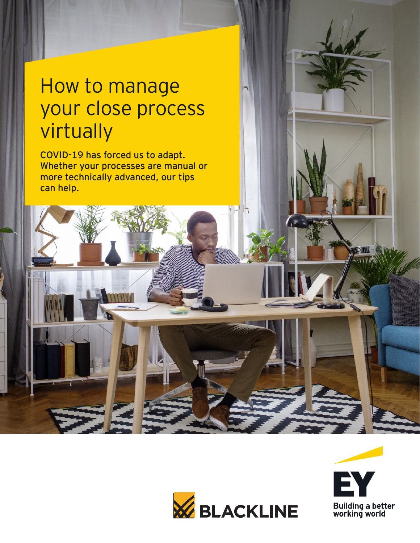# How to manage your close process virtually

COVID-19 has forced us to adapt. Whether your processes are manual or more technically advanced, our tips can help.

医



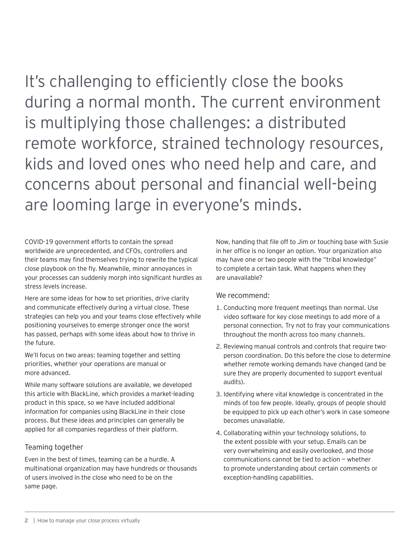It's challenging to efficiently close the books during a normal month. The current environment is multiplying those challenges: a distributed remote workforce, strained technology resources, kids and loved ones who need help and care, and concerns about personal and financial well-being are looming large in everyone's minds.

COVID-19 government efforts to contain the spread worldwide are unprecedented, and CFOs, controllers and their teams may find themselves trying to rewrite the typical close playbook on the fly. Meanwhile, minor annoyances in your processes can suddenly morph into significant hurdles as stress levels increase.

Here are some ideas for how to set priorities, drive clarity and communicate effectively during a virtual close. These strategies can help you and your teams close effectively while positioning yourselves to emerge stronger once the worst has passed, perhaps with some ideas about how to thrive in the future.

We'll focus on two areas: teaming together and setting priorities, whether your operations are manual or more advanced.

While many software solutions are available, we developed this article with BlackLine, which provides a market-leading product in this space, so we have included additional information for companies using BlackLine in their close process. But these ideas and principles can generally be applied for all companies regardless of their platform.

### Teaming together

Even in the best of times, teaming can be a hurdle. A multinational organization may have hundreds or thousands of users involved in the close who need to be on the same page.

Now, handing that file off to Jim or touching base with Susie in her office is no longer an option. Your organization also may have one or two people with the "tribal knowledge" to complete a certain task. What happens when they are unavailable?

### We recommend:

- 1. Conducting more frequent meetings than normal. Use video software for key close meetings to add more of a personal connection. Try not to fray your communications throughout the month across too many channels.
- 2. Reviewing manual controls and controls that require twoperson coordination. Do this before the close to determine whether remote working demands have changed (and be sure they are properly documented to support eventual audits).
- 3. Identifying where vital knowledge is concentrated in the minds of too few people. Ideally, groups of people should be equipped to pick up each other's work in case someone becomes unavailable.
- 4. Collaborating within your technology solutions, to the extent possible with your setup. Emails can be very overwhelming and easily overlooked, and those communications cannot be tied to action — whether to promote understanding about certain comments or exception-handling capabilities.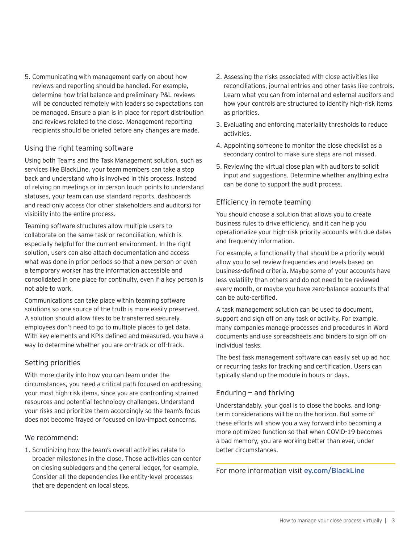5. Communicating with management early on about how reviews and reporting should be handled. For example, determine how trial balance and preliminary P&L reviews will be conducted remotely with leaders so expectations can be managed. Ensure a plan is in place for report distribution and reviews related to the close. Management reporting recipients should be briefed before any changes are made.

#### Using the right teaming software

Using both Teams and the Task Management solution, such as services like BlackLine, your team members can take a step back and understand who is involved in this process. Instead of relying on meetings or in-person touch points to understand statuses, your team can use standard reports, dashboards and read-only access (for other stakeholders and auditors) for visibility into the entire process.

Teaming software structures allow multiple users to collaborate on the same task or reconciliation, which is especially helpful for the current environment. In the right solution, users can also attach documentation and access what was done in prior periods so that a new person or even a temporary worker has the information accessible and consolidated in one place for continuity, even if a key person is not able to work.

Communications can take place within teaming software solutions so one source of the truth is more easily preserved. A solution should allow files to be transferred securely, employees don't need to go to multiple places to get data. With key elements and KPIs defined and measured, you have a way to determine whether you are on-track or off-track.

#### Setting priorities

With more clarity into how you can team under the circumstances, you need a critical path focused on addressing your most high-risk items, since you are confronting strained resources and potential technology challenges. Understand your risks and prioritize them accordingly so the team's focus does not become frayed or focused on low-impact concerns.

#### We recommend:

1. Scrutinizing how the team's overall activities relate to broader milestones in the close. Those activities can center on closing subledgers and the general ledger, for example. Consider all the dependencies like entity-level processes that are dependent on local steps.

- 2. Assessing the risks associated with close activities like reconciliations, journal entries and other tasks like controls. Learn what you can from internal and external auditors and how your controls are structured to identify high-risk items as priorities.
- 3. Evaluating and enforcing materiality thresholds to reduce activities.
- 4. Appointing someone to monitor the close checklist as a secondary control to make sure steps are not missed.
- 5. Reviewing the virtual close plan with auditors to solicit input and suggestions. Determine whether anything extra can be done to support the audit process.

## Efficiency in remote teaming

You should choose a solution that allows you to create business rules to drive efficiency, and it can help you operationalize your high-risk priority accounts with due dates and frequency information.

For example, a functionality that should be a priority would allow you to set review frequencies and levels based on business-defined criteria. Maybe some of your accounts have less volatility than others and do not need to be reviewed every month, or maybe you have zero-balance accounts that can be auto-certified.

A task management solution can be used to document, support and sign off on any task or activity. For example, many companies manage processes and procedures in Word documents and use spreadsheets and binders to sign off on individual tasks.

The best task management software can easily set up ad hoc or recurring tasks for tracking and certification. Users can typically stand up the module in hours or days.

# Enduring — and thriving

Understandably, your goal is to close the books, and longterm considerations will be on the horizon. But some of these efforts will show you a way forward into becoming a more optimized function so that when COVID-19 becomes a bad memory, you are working better than ever, under better circumstances.

For more information visit [ey.com/BlackLine](http://ey.com/BlackLine)